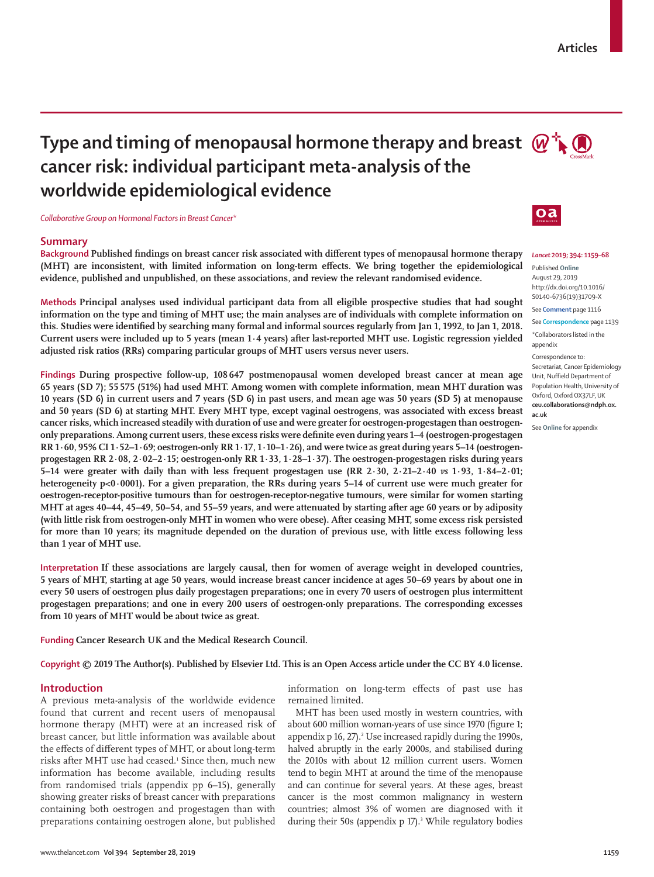# **Type and timing of menopausal hormone therapy and breast**  $\mathbb{Q}^+$ **cancer risk: individual participant meta-analysis of the worldwide epidemiological evidence**

*Collaborative Group on Hormonal Factors in Breast Cancer*\*

## **Summary**

**Background Published findings on breast cancer risk associated with different types of menopausal hormone therapy (MHT) are inconsistent, with limited information on long-term effects. We bring together the epidemiological evidence, published and unpublished, on these associations, and review the relevant randomised evidence.**

**Methods Principal analyses used individual participant data from all eligible prospective studies that had sought information on the type and timing of MHT use; the main analyses are of individuals with complete information on this. Studies were identified by searching many formal and informal sources regularly from Jan 1, 1992, to Jan 1, 2018. Current users were included up to 5 years (mean 1·4 years) after last-reported MHT use. Logistic regression yielded adjusted risk ratios (RRs) comparing particular groups of MHT users versus never users.** 

**Findings During prospective follow-up, 108 647 postmenopausal women developed breast cancer at mean age 65 years (SD 7); 55 575 (51%) had used MHT. Among women with complete information, mean MHT duration was 10 years (SD 6) in current users and 7 years (SD 6) in past users, and mean age was 50 years (SD 5) at menopause and 50 years (SD 6) at starting MHT. Every MHT type, except vaginal oestrogens, was associated with excess breast cancer risks, which increased steadily with duration of use and were greater for oestrogen-progestagen than oestrogenonly preparations. Among current users, these excess risks were definite even during years 1–4 (oestrogen-progestagen RR 1·60, 95% CI 1·52–1·69; oestrogen-only RR 1·17, 1·10–1·26), and were twice as great during years 5–14 (oestrogenprogestagen RR 2·08, 2·02–2·15; oestrogen-only RR 1·33, 1·28–1·37). The oestrogen-progestagen risks during years 5–14 were greater with daily than with less frequent progestagen use (RR 2·30, 2·21–2·40** *vs* **1·93, 1·84–2·01; heterogeneity p<0·0001). For a given preparation, the RRs during years 5–14 of current use were much greater for oestrogen-receptor-positive tumours than for oestrogen-receptor-negative tumours, were similar for women starting MHT at ages 40–44, 45–49, 50–54, and 55–59 years, and were attenuated by starting after age 60 years or by adiposity (with little risk from oestrogen-only MHT in women who were obese). After ceasing MHT, some excess risk persisted for more than 10 years; its magnitude depended on the duration of previous use, with little excess following less than 1 year of MHT use.**

**Interpretation If these associations are largely causal, then for women of average weight in developed countries, 5 years of MHT, starting at age 50 years, would increase breast cancer incidence at ages 50–69 years by about one in every 50 users of oestrogen plus daily progestagen preparations; one in every 70 users of oestrogen plus intermittent progestagen preparations; and one in every 200 users of oestrogen-only preparations. The corresponding excesses from 10 years of MHT would be about twice as great.**

**Funding Cancer Research UK and the Medical Research Council.**

**Copyright © 2019 The Author(s). Published by Elsevier Ltd. This is an Open Access article under the CC BY 4.0 license.** 

## **Introduction**

A previous meta-analysis of the worldwide evidence found that current and recent users of menopausal hormone therapy (MHT) were at an increased risk of breast cancer, but little information was available about the effects of different types of MHT, or about long-term risks after MHT use had ceased.<sup>1</sup> Since then, much new information has become available, including results from randomised trials (appendix pp 6–15), generally showing greater risks of breast cancer with preparations containing both oestrogen and progestagen than with preparations containing oestrogen alone, but published

information on long-term effects of past use has remained limited.

MHT has been used mostly in western countries, with about 600 million woman-years of use since 1970 (figure 1; appendix p 16, 27).<sup>2</sup> Use increased rapidly during the 1990s, halved abruptly in the early 2000s, and stabilised during the 2010s with about 12 million current users. Women tend to begin MHT at around the time of the menopause and can continue for several years. At these ages, breast cancer is the most common malignancy in western countries; almost 3% of women are diagnosed with it during their 50s (appendix p 17).<sup>3</sup> While regulatory bodies



*Lancet* **2019; 394: 1159–68**

Published **Online** August 29, 2019 http://dx.doi.org/10.1016/ S0140-6736(19)31709-X

See **Comment** page 1116

See **Correspondence** page 1139

\*Collaborators listed in the appendix

Correspondence to:

Secretariat, Cancer Epidemiology Unit, Nuffield Department of Population Health, University of Oxford, Oxford OX37LF, UK **ceu.collaborations@ndph.ox. ac.uk**

See **Online** for appendix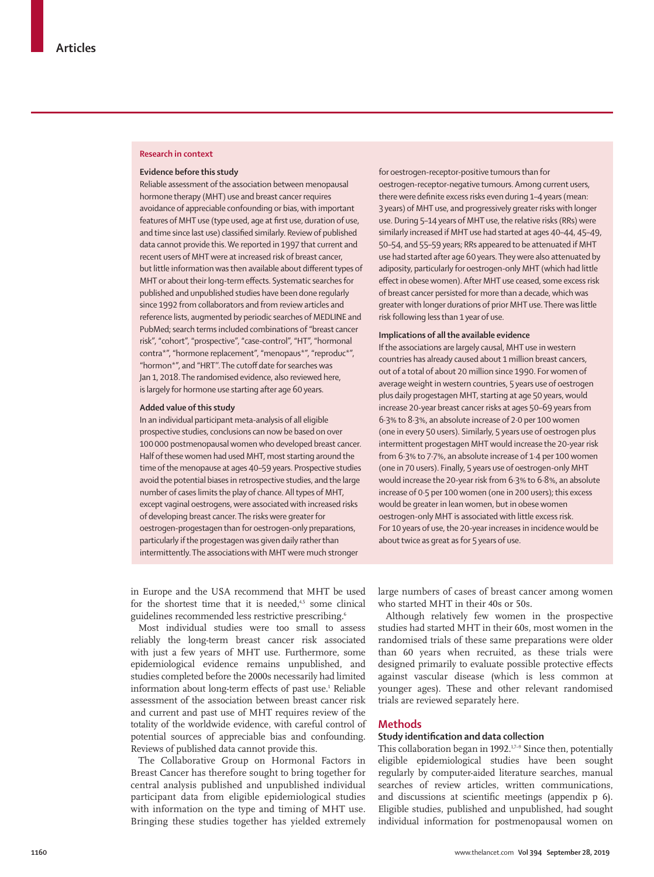## **Research in context**

#### **Evidence before this study**

Reliable assessment of the association between menopausal hormone therapy (MHT) use and breast cancer requires avoidance of appreciable confounding or bias, with important features of MHT use (type used, age at first use, duration of use, and time since last use) classified similarly. Review of published data cannot provide this. We reported in 1997 that current and recent users of MHT were at increased risk of breast cancer, but little information was then available about different types of MHT or about their long-term effects. Systematic searches for published and unpublished studies have been done regularly since 1992 from collaborators and from review articles and reference lists, augmented by periodic searches of MEDLINE and PubMed; search terms included combinations of "breast cancer risk", "cohort", "prospective", "case-control", "HT", "hormonal contra\*", "hormone replacement", "menopaus\*", "reproduc\*", "hormon\*", and "HRT''. The cutoff date for searches was Jan 1, 2018. The randomised evidence, also reviewed here, is largely for hormone use starting after age 60 years.

#### **Added value of this study**

In an individual participant meta-analysis of all eligible prospective studies, conclusions can now be based on over 100000 postmenopausal women who developed breast cancer. Half of these women had used MHT, most starting around the time of the menopause at ages 40–59 years. Prospective studies avoid the potential biases in retrospective studies, and the large number of cases limits the play of chance. All types of MHT, except vaginal oestrogens, were associated with increased risks of developing breast cancer. The risks were greater for oestrogen-progestagen than for oestrogen-only preparations, particularly if the progestagen was given daily rather than intermittently. The associations with MHT were much stronger

for oestrogen-receptor-positive tumours than for oestrogen-receptor-negative tumours. Among current users, there were definite excess risks even during 1–4 years (mean: 3 years) of MHT use, and progressively greater risks with longer use. During 5-14 years of MHT use, the relative risks (RRs) were similarly increased if MHT use had started at ages 40–44, 45–49, 50–54, and 55–59 years; RRs appeared to be attenuated if MHT use had started after age 60 years. They were also attenuated by adiposity, particularly for oestrogen-only MHT (which had little effect in obese women). After MHT use ceased, some excess risk of breast cancer persisted for more than a decade, which was greater with longer durations of prior MHT use. There was little risk following less than 1 year of use.

#### **Implications of all the available evidence**

If the associations are largely causal, MHT use in western countries has already caused about 1 million breast cancers, out of a total of about 20 million since 1990. For women of average weight in western countries, 5 years use of oestrogen plus daily progestagen MHT, starting at age 50 years, would increase 20-year breast cancer risks at ages 50–69 years from 6·3% to 8·3%, an absolute increase of 2·0 per 100 women (one in every 50 users). Similarly, 5 years use of oestrogen plus intermittent progestagen MHT would increase the 20-year risk from 6·3% to 7·7%, an absolute increase of 1·4 per 100 women (one in 70 users). Finally, 5 years use of oestrogen-only MHT would increase the 20-year risk from 6·3% to 6·8%, an absolute increase of 0·5 per 100 women (one in 200 users); this excess would be greater in lean women, but in obese women oestrogen-only MHT is associated with little excess risk. For 10 years of use, the 20-year increases in incidence would be about twice as great as for 5 years of use.

in Europe and the USA recommend that MHT be used for the shortest time that it is needed, $4,5$  some clinical guidelines recommended less restrictive prescribing.<sup>6</sup>

Most individual studies were too small to assess reliably the long-term breast cancer risk associated with just a few years of MHT use. Furthermore, some epidemiological evidence remains unpublished, and studies completed before the 2000s necessarily had limited information about long-term effects of past use.<sup>1</sup> Reliable assessment of the association between breast cancer risk and current and past use of MHT requires review of the totality of the worldwide evidence, with careful control of potential sources of appreciable bias and confounding. Reviews of published data cannot provide this.

The Collaborative Group on Hormonal Factors in Breast Cancer has therefore sought to bring together for central analysis published and unpublished individual participant data from eligible epidemiological studies with information on the type and timing of MHT use. Bringing these studies together has yielded extremely large numbers of cases of breast cancer among women who started MHT in their 40s or 50s.

Although relatively few women in the prospective studies had started MHT in their 60s, most women in the randomised trials of these same preparations were older than 60 years when recruited, as these trials were designed primarily to evaluate possible protective effects against vascular disease (which is less common at younger ages). These and other relevant randomised trials are reviewed separately here.

## **Methods**

## **Study identification and data collection**

This collaboration began in 1992.<sup>1,7-9</sup> Since then, potentially eligible epidemiological studies have been sought regularly by computer-aided literature searches, manual searches of review articles, written communications, and discussions at scientific meetings (appendix p 6). Eligible studies, published and unpublished, had sought individual information for postmenopausal women on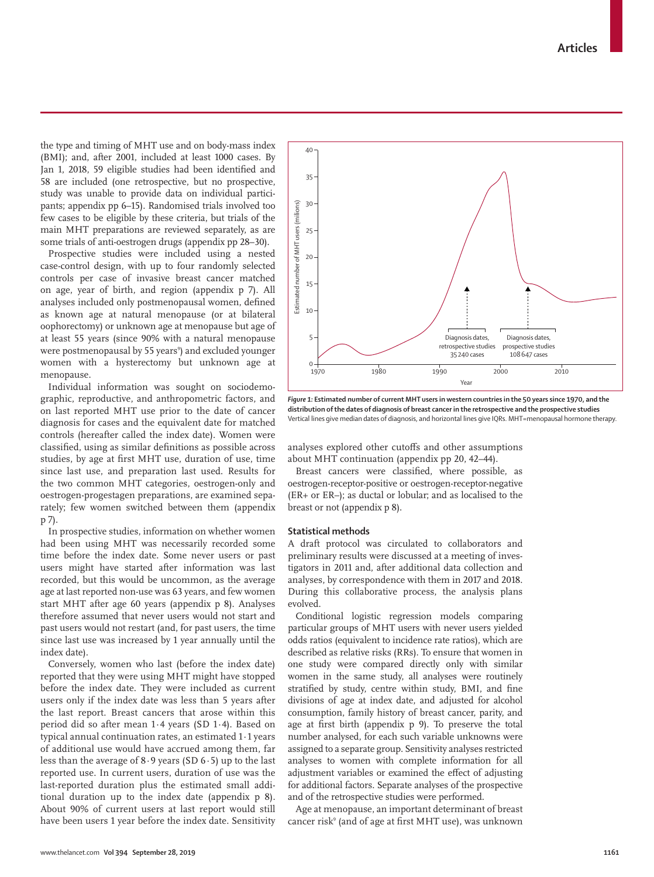the type and timing of MHT use and on body-mass index (BMI); and, after 2001, included at least 1000 cases. By Jan 1, 2018, 59 eligible studies had been identified and 58 are included (one retrospective, but no prospective, study was unable to provide data on individual participants; appendix pp 6–15). Randomised trials involved too few cases to be eligible by these criteria, but trials of the main MHT preparations are reviewed separately, as are some trials of anti-oestrogen drugs (appendix pp 28–30).

Prospective studies were included using a nested case-control design, with up to four randomly selected controls per case of invasive breast cancer matched on age, year of birth, and region (appendix p 7). All analyses included only postmenopausal women, defined as known age at natural menopause (or at bilateral oophorectomy) or unknown age at menopause but age of at least 55 years (since 90% with a natural menopause were postmenopausal by 55 years°) and excluded younger women with a hysterectomy but unknown age at menopause.

Individual information was sought on sociodemographic, reproductive, and anthropometric factors, and on last reported MHT use prior to the date of cancer diagnosis for cases and the equivalent date for matched controls (hereafter called the index date). Women were classified, using as similar definitions as possible across studies, by age at first MHT use, duration of use, time since last use, and preparation last used. Results for the two common MHT categories, oestrogen-only and oestrogen-progestagen preparations, are examined separately; few women switched between them (appendix p 7).

In prospective studies, information on whether women had been using MHT was necessarily recorded some time before the index date. Some never users or past users might have started after information was last recorded, but this would be uncommon, as the average age at last reported non-use was 63 years, and few women start MHT after age 60 years (appendix p 8). Analyses therefore assumed that never users would not start and past users would not restart (and, for past users, the time since last use was increased by 1 year annually until the index date).

Conversely, women who last (before the index date) reported that they were using MHT might have stopped before the index date. They were included as current users only if the index date was less than 5 years after the last report. Breast cancers that arose within this period did so after mean 1·4 years (SD 1·4). Based on typical annual continuation rates, an estimated 1·1 years of additional use would have accrued among them, far less than the average of 8·9 years (SD 6·5) up to the last reported use. In current users, duration of use was the last-reported duration plus the estimated small additional duration up to the index date (appendix p 8). About 90% of current users at last report would still have been users 1 year before the index date. Sensitivity



*Figure 1:* **Estimated number of current MHT users in western countries in the 50 years since 1970, and the distribution of the dates of diagnosis of breast cancer in the retrospective and the prospective studies** Vertical lines give median dates of diagnosis, and horizontal lines give IQRs. MHT=menopausal hormone therapy.

analyses explored other cutoffs and other assumptions about MHT continuation (appendix pp 20, 42–44).

Breast cancers were classified, where possible, as oestrogen-receptor-positive or oestrogen-receptor-negative (ER+ or ER–); as ductal or lobular; and as localised to the breast or not (appendix p 8).

#### **Statistical methods**

A draft protocol was circulated to collaborators and preliminary results were discussed at a meeting of investigators in 2011 and, after additional data collection and analyses, by correspondence with them in 2017 and 2018. During this collaborative process, the analysis plans evolved.

Conditional logistic regression models comparing particular groups of MHT users with never users yielded odds ratios (equivalent to incidence rate ratios), which are described as relative risks (RRs). To ensure that women in one study were compared directly only with similar women in the same study, all analyses were routinely stratified by study, centre within study, BMI, and fine divisions of age at index date, and adjusted for alcohol consumption, family history of breast cancer, parity, and age at first birth (appendix p 9). To preserve the total number analysed, for each such variable unknowns were assigned to a separate group. Sensitivity analyses restricted analyses to women with complete information for all adjustment variables or examined the effect of adjusting for additional factors. Separate analyses of the prospective and of the retrospective studies were performed.

Age at menopause, an important determinant of breast cancer risk<sup>9</sup> (and of age at first MHT use), was unknown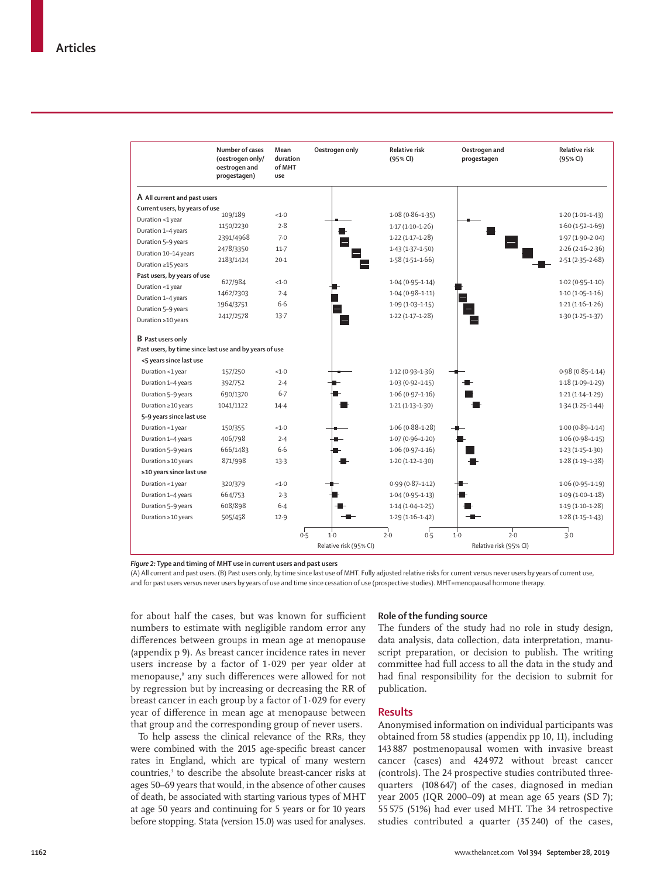|                                                        | Number of cases<br>(oestrogen only/<br>oestrogen and<br>progestagen) | Mean<br>duration<br>of MHT<br>use | Oestrogen only                  | <b>Relative risk</b><br>(95% CI) | Oestrogen and<br>progestagen           | <b>Relative risk</b><br>(95% CI) |
|--------------------------------------------------------|----------------------------------------------------------------------|-----------------------------------|---------------------------------|----------------------------------|----------------------------------------|----------------------------------|
| A All current and past users                           |                                                                      |                                   |                                 |                                  |                                        |                                  |
| Current users, by years of use                         |                                                                      |                                   |                                 |                                  |                                        |                                  |
| Duration <1 year                                       | 109/189                                                              | <1.0                              |                                 | $1.08(0.86 - 1.35)$              |                                        | $1.20(1.01-1.43)$                |
| Duration 1-4 years                                     | 1150/2230                                                            | 2.8                               |                                 | $1.17(1.10-1.26)$                |                                        | $1.60(1.52 - 1.69)$              |
| Duration 5-9 years                                     | 2391/4968                                                            | 7.0                               |                                 | $1.22(1.17-1.28)$                |                                        | $1.97(1.90-2.04)$                |
| Duration 10-14 years                                   | 2478/3350                                                            | $11-7$                            |                                 | $1.43(1.37 - 1.50)$              |                                        | $2.26(2.16-2.36)$                |
| Duration ≥15 years                                     | 2183/1424                                                            | $20-1$                            |                                 | $1.58(1.51 - 1.66)$              |                                        | $2.51(2.35 - 2.68)$              |
| Past users, by years of use                            |                                                                      |                                   |                                 |                                  |                                        |                                  |
| Duration <1 year                                       | 627/984                                                              | <1.0                              |                                 | $1.04(0.95 - 1.14)$              |                                        | $1.02(0.95 - 1.10)$              |
| Duration 1-4 years                                     | 1462/2303                                                            | 2.4                               |                                 | $1.04(0.98 - 1.11)$              |                                        | $1.10(1.05-1.16)$                |
| Duration 5-9 years                                     | 1964/3751                                                            | 6.6                               |                                 | $1.09(1.03 - 1.15)$              |                                        | $1.21(1.16-1.26)$                |
| Duration ≥10 years                                     | 2417/2578                                                            | $13-7$                            |                                 | $1.22(1.17-1.28)$                |                                        | $1.30(1.25 - 1.37)$              |
| <b>B</b> Past users only                               |                                                                      |                                   |                                 |                                  |                                        |                                  |
| Past users, by time since last use and by years of use |                                                                      |                                   |                                 |                                  |                                        |                                  |
| <5 years since last use                                |                                                                      |                                   |                                 |                                  |                                        |                                  |
| Duration <1 year                                       | 157/250                                                              | < 1.0                             |                                 | $1.12(0.93 - 1.36)$              |                                        | $0.98(0.85 - 1.14)$              |
| Duration 1-4 years                                     | 392/752                                                              | 2.4                               |                                 | $1.03(0.92 - 1.15)$              |                                        | $1.18(1.09 - 1.29)$              |
| Duration 5-9 years                                     | 690/1370                                                             | $6 - 7$                           |                                 | $1.06(0.97 - 1.16)$              |                                        | $1.21(1.14 - 1.29)$              |
| Duration ≥10 years                                     | 1041/1122                                                            | $14-4$                            |                                 | $1.21(1.13 - 1.30)$              |                                        | $1.34(1.25 - 1.44)$              |
| 5-9 years since last use                               |                                                                      |                                   |                                 |                                  |                                        |                                  |
| Duration <1 year                                       | 150/355                                                              | < 1.0                             |                                 | $1.06(0.88 - 1.28)$              |                                        | $1.00(0.89 - 1.14)$              |
| Duration 1-4 years                                     | 406/798                                                              | 2.4                               |                                 | $1.07(0.96 - 1.20)$              |                                        | $1.06(0.98 - 1.15)$              |
| Duration 5-9 years                                     | 666/1483                                                             | 6.6                               |                                 | $1.06(0.97 - 1.16)$              |                                        | $1.23(1.15-1.30)$                |
| Duration ≥10 years                                     | 871/998                                                              | 13.3                              |                                 | $1.20(1.12 - 1.30)$              |                                        | $1.28(1.19-1.38)$                |
| ≥10 years since last use                               |                                                                      |                                   |                                 |                                  |                                        |                                  |
| Duration <1 year                                       | 320/379                                                              | <1.0                              |                                 | $0.99(0.87 - 1.12)$              |                                        | $1.06(0.95 - 1.19)$              |
| Duration 1-4 years                                     | 664/753                                                              | 2.3                               |                                 | $1.04(0.95 - 1.13)$              |                                        | $1.09(1.00-1.18)$                |
| Duration 5-9 years                                     | 608/898                                                              | $6 - 4$                           |                                 | $1.14(1.04-1.25)$                |                                        | $1.19(1.10-1.28)$                |
| Duration ≥10 years                                     | 505/458                                                              | 12.9                              |                                 | $1.29(1.16-1.42)$                |                                        | $1.28(1.15-1.43)$                |
|                                                        |                                                                      | 0.5                               | $1-0$<br>Relative risk (95% CI) | 2.0<br>0.5                       | 2.0<br>$1-0$<br>Relative risk (95% CI) | 3.0                              |

*Figure 2:* **Type and timing of MHT use in current users and past users**

(A) All current and past users. (B) Past users only, by time since last use of MHT. Fully adjusted relative risks for current versus never users by years of current use, and for past users versus never users by years of use and time since cessation of use (prospective studies). MHT=menopausal hormone therapy.

for about half the cases, but was known for sufficient numbers to estimate with negligible random error any differences between groups in mean age at menopause (appendix p 9). As breast cancer incidence rates in never users increase by a factor of 1·029 per year older at menopause,9 any such differences were allowed for not by regression but by increasing or decreasing the RR of breast cancer in each group by a factor of 1·029 for every year of difference in mean age at menopause between that group and the corresponding group of never users.

To help assess the clinical relevance of the RRs, they were combined with the 2015 age-specific breast cancer rates in England, which are typical of many western countries,<sup>3</sup> to describe the absolute breast-cancer risks at ages 50–69 years that would, in the absence of other causes of death, be associated with starting various types of MHT at age 50 years and continuing for 5 years or for 10 years before stopping. Stata (version 15.0) was used for analyses.

#### **Role of the funding source**

The funders of the study had no role in study design, data analysis, data collection, data interpretation, manuscript preparation, or decision to publish. The writing committee had full access to all the data in the study and had final responsibility for the decision to submit for publication.

## **Results**

Anonymised information on individual participants was obtained from 58 studies (appendix pp 10, 11), including 143 887 postmenopausal women with invasive breast cancer (cases) and 424 972 without breast cancer (controls). The 24 prospective studies contributed threequarters (108 647) of the cases, diagnosed in median year 2005 (IQR 2000–09) at mean age 65 years (SD 7); 55 575 (51%) had ever used MHT. The 34 retrospective studies contributed a quarter (35 240) of the cases,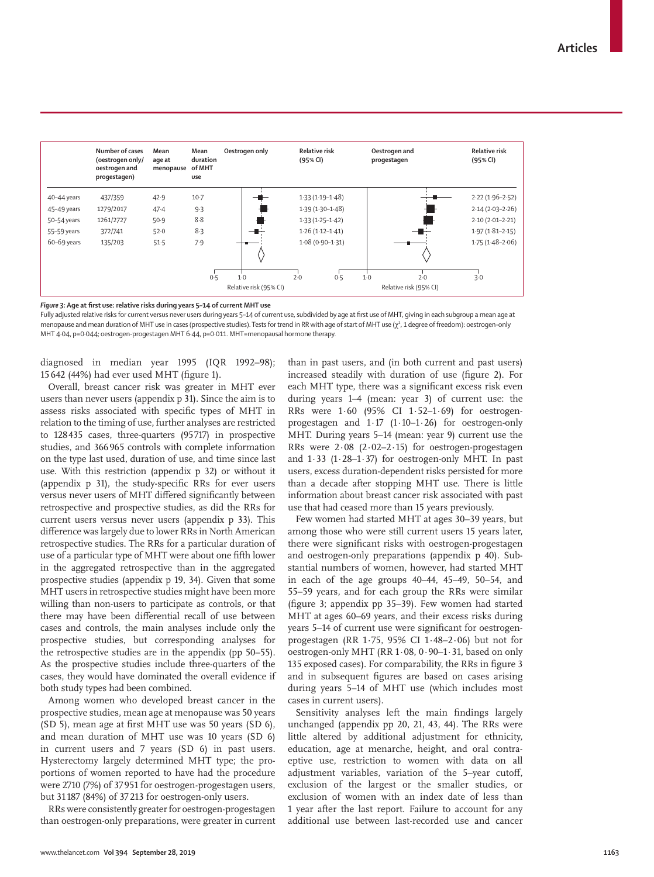|             | Number of cases<br>(oestrogen only/<br>oestrogen and<br>progestagen) | Mean<br>age at<br>menopause | Mean<br>duration<br>of MHT<br>use | Oestrogen only         | <b>Relative risk</b><br>(95% CI) | Oestrogen and<br>progestagen | <b>Relative risk</b><br>(95% CI) |
|-------------|----------------------------------------------------------------------|-----------------------------|-----------------------------------|------------------------|----------------------------------|------------------------------|----------------------------------|
| 40-44 years | 437/359                                                              | 42.9                        | $10-7$                            |                        | $1.33(1.19 - 1.48)$              |                              | $2.22(1.96-2.52)$                |
| 45-49 years | 1279/2017                                                            | 47.4                        | 9.3                               |                        | $1.39(1.30 - 1.48)$              |                              | $2.14(2.03 - 2.26)$              |
| 50-54 years | 1261/2727                                                            | 50.9                        | 8.8                               |                        | $1.33(1.25-1.42)$                |                              | $2.10(2.01 - 2.21)$              |
| 55-59 years | 372/741                                                              | 52.0                        | 8.3                               |                        | $1.26(1.12 - 1.41)$              |                              | $1.97(1.81 - 2.15)$              |
| 60-69 years | 135/203                                                              | 51.5                        | 7.9                               |                        | $1.08(0.90 - 1.31)$              |                              | $1.75(1.48-2.06)$                |
|             |                                                                      |                             |                                   |                        |                                  |                              |                                  |
|             |                                                                      |                             | 0.5                               | $1-0$                  | 2.0<br>0.5                       | $1-0$<br>2.0                 | 3.0                              |
|             |                                                                      |                             |                                   | Relative risk (95% CI) |                                  | Relative risk (95% CI)       |                                  |

*Figure 3:* **Age at first use: relative risks during years 5–14 of current MHT use**

Fully adjusted relative risks for current versus never users during years 5–14 of current use, subdivided by age at first use of MHT, giving in each subgroup a mean age at menopause and mean duration of MHT use in cases (prospective studies). Tests for trend in RR with age of start of MHT use (χ<sup>2</sup>, 1 degree of freedom): oestrogen-only MHT 4·04, p=0·044; oestrogen-progestagen MHT 6·44, p=0·011. MHT=menopausal hormone therapy.

diagnosed in median year 1995 (IQR 1992–98); 15 642 (44%) had ever used MHT (figure 1).

Overall, breast cancer risk was greater in MHT ever users than never users (appendix p 31). Since the aim is to assess risks associated with specific types of MHT in relation to the timing of use, further analyses are restricted to 128435 cases, three-quarters (95717) in prospective studies, and 366965 controls with complete information on the type last used, duration of use, and time since last use. With this restriction (appendix p 32) or without it (appendix p 31), the study-specific RRs for ever users versus never users of MHT differed significantly between retrospective and prospective studies, as did the RRs for current users versus never users (appendix p 33). This difference was largely due to lower RRs in North American retrospective studies. The RRs for a particular duration of use of a particular type of MHT were about one fifth lower in the aggregated retrospective than in the aggregated prospective studies (appendix p 19, 34). Given that some MHT users in retrospective studies might have been more willing than non-users to participate as controls, or that there may have been differential recall of use between cases and controls, the main analyses include only the prospective studies, but corresponding analyses for the retrospective studies are in the appendix (pp 50–55). As the prospective studies include three-quarters of the cases, they would have dominated the overall evidence if both study types had been combined.

Among women who developed breast cancer in the prospective studies, mean age at menopause was 50 years (SD 5), mean age at first MHT use was 50 years (SD 6), and mean duration of MHT use was 10 years (SD 6) in current users and 7 years (SD 6) in past users. Hysterectomy largely determined MHT type; the proportions of women reported to have had the procedure were 2710 (7%) of 37 951 for oestrogen-progestagen users, but 31 187 (84%) of 37213 for oestrogen-only users.

RRs were consistently greater for oestrogen-progestagen than oestrogen-only preparations, were greater in current than in past users, and (in both current and past users) increased steadily with duration of use (figure 2). For each MHT type, there was a significant excess risk even during years 1–4 (mean: year 3) of current use: the RRs were 1·60 (95% CI 1·52–1·69) for oestrogenprogestagen and 1·17 (1·10–1·26) for oestrogen-only MHT. During years 5–14 (mean: year 9) current use the RRs were 2·08 (2·02–2·15) for oestrogen-progestagen and  $1.33$  ( $1.28-1.37$ ) for oestrogen-only MHT. In past users, excess duration-dependent risks persisted for more than a decade after stopping MHT use. There is little information about breast cancer risk associated with past use that had ceased more than 15 years previously.

Few women had started MHT at ages 30–39 years, but among those who were still current users 15 years later, there were significant risks with oestrogen-progestagen and oestrogen-only preparations (appendix p 40). Substantial numbers of women, however, had started MHT in each of the age groups 40–44, 45–49, 50–54, and 55–59 years, and for each group the RRs were similar (figure 3; appendix pp 35–39). Few women had started MHT at ages 60–69 years, and their excess risks during years 5–14 of current use were significant for oestrogenprogestagen (RR 1·75, 95% CI 1·48–2·06) but not for oestrogen-only MHT (RR 1·08, 0·90–1·31, based on only 135 exposed cases). For comparability, the RRs in figure 3 and in subsequent figures are based on cases arising during years 5–14 of MHT use (which includes most cases in current users).

Sensitivity analyses left the main findings largely unchanged (appendix pp 20, 21, 43, 44). The RRs were little altered by additional adjustment for ethnicity, education, age at menarche, height, and oral contraeptive use, restriction to women with data on all adjustment variables, variation of the 5–year cutoff, exclusion of the largest or the smaller studies, or exclusion of women with an index date of less than 1 year after the last report. Failure to account for any additional use between last-recorded use and cancer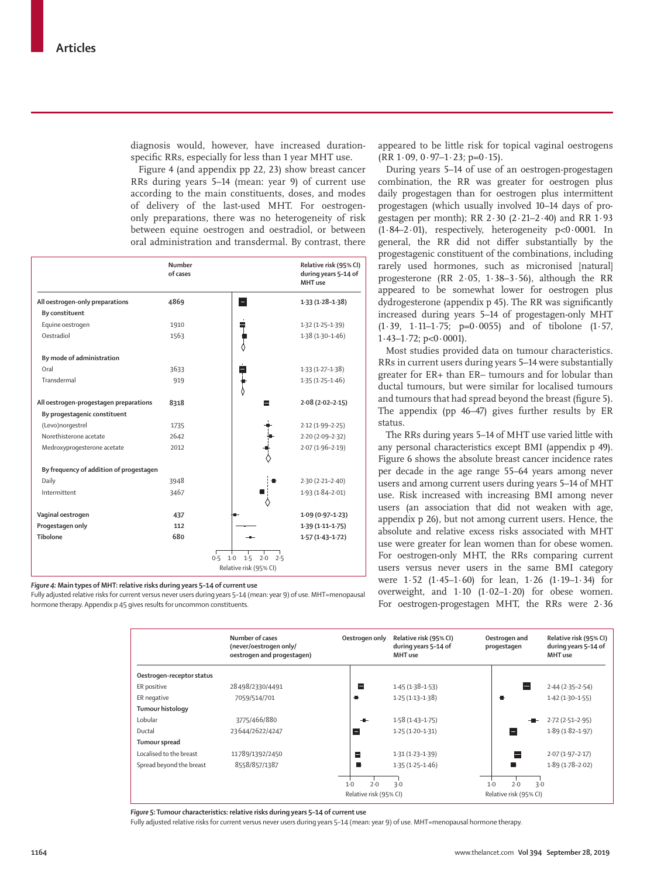diagnosis would, however, have increased durationspecific RRs, especially for less than 1 year MHT use.

Figure 4 (and appendix pp 22, 23) show breast cancer RRs during years 5–14 (mean: year 9) of current use according to the main constituents, doses, and modes of delivery of the last-used MHT. For oestrogenonly preparations, there was no heterogeneity of risk between equine oestrogen and oestradiol, or between oral administration and transdermal. By contrast, there

|                                         | Number<br>of cases |                                                             | Relative risk (95% CI)<br>during years 5-14 of<br>MHT use |
|-----------------------------------------|--------------------|-------------------------------------------------------------|-----------------------------------------------------------|
| All oestrogen-only preparations         | 4869               | E                                                           | $1.33(1.28-1.38)$                                         |
| By constituent                          |                    |                                                             |                                                           |
| Equine oestrogen                        | 1910               |                                                             | $1.32(1.25 - 1.39)$                                       |
| Oestradiol                              | 1563               |                                                             | $1.38(1.30 - 1.46)$                                       |
| By mode of administration               |                    |                                                             |                                                           |
| Oral                                    | 3633               |                                                             | $1.33(1.27 - 1.38)$                                       |
| Transdermal                             | 919                |                                                             | $1.35(1.25 - 1.46)$                                       |
| All oestrogen-progestagen preparations  | 8318               |                                                             | $2.08(2.02 - 2.15)$                                       |
| By progestagenic constituent            |                    |                                                             |                                                           |
| (Levo)norgestrel                        | 1735               |                                                             | $2.12(1.99 - 2.25)$                                       |
| Norethisterone acetate                  | 2642               |                                                             | $2.20(2.09-2.32)$                                         |
| Medroxyprogesterone acetate             | 2012               |                                                             | $2.07(1.96 - 2.19)$                                       |
| By frequency of addition of progestagen |                    |                                                             |                                                           |
| Daily                                   | 3948               |                                                             | $2.30(2.21 - 2.40)$                                       |
| Intermittent                            | 3467               |                                                             | $1.93(1.84 - 2.01)$                                       |
| Vaginal oestrogen                       | 437                |                                                             | $1.09(0.97 - 1.23)$                                       |
| Progestagen only                        | 112                |                                                             | $1.39(1.11 - 1.75)$                                       |
| Tibolone                                | 680                |                                                             | $1.57(1.43 - 1.72)$                                       |
|                                         |                    | 1.5<br>0.5<br>$1-0$<br>2.0<br>2.5<br>Relative risk (95% CI) |                                                           |

*Figure 4:* **Main types of MHT: relative risks during years 5–14 of current use**

Fully adjusted relative risks for current versus never users during years 5–14 (mean: year 9) of use. MHT=menopausal hormone therapy. Appendix p 45 gives results for uncommon constituents.

appeared to be little risk for topical vaginal oestrogens  $(RR 1.09, 0.97-1.23; p=0.15).$ 

During years 5–14 of use of an oestrogen-progestagen combination, the RR was greater for oestrogen plus daily progestagen than for oestrogen plus intermittent progestagen (which usually involved 10–14 days of progestagen per month); RR 2·30 (2·21–2·40) and RR 1·93 (1·84–2·01), respectively, heterogeneity p<0·0001. In general, the RR did not differ substantially by the progestagenic constituent of the combinations, including rarely used hormones, such as micronised [natural] progesterone (RR  $2.05$ ,  $1.38-3.56$ ), although the RR appeared to be somewhat lower for oestrogen plus dydrogesterone (appendix p 45). The RR was significantly increased during years 5–14 of progestagen-only MHT (1·39, 1·11–1·75; p=0·0055) and of tibolone (1·57,  $1.43 - 1.72$ ; p<0.0001).

Most studies provided data on tumour characteristics. RRs in current users during years 5–14 were substantially greater for ER+ than ER– tumours and for lobular than ductal tumours, but were similar for localised tumours and tumours that had spread beyond the breast (figure 5). The appendix (pp 46–47) gives further results by ER status.

The RRs during years 5–14 of MHT use varied little with any personal characteristics except BMI (appendix p 49). Figure 6 shows the absolute breast cancer incidence rates per decade in the age range 55–64 years among never users and among current users during years 5–14 of MHT use. Risk increased with increasing BMI among never users (an association that did not weaken with age, appendix p 26), but not among current users. Hence, the absolute and relative excess risks associated with MHT use were greater for lean women than for obese women. For oestrogen-only MHT, the RRs comparing current users versus never users in the same BMI category were 1·52 (1·45–1·60) for lean, 1·26 (1·19–1·34) for overweight, and 1·10 (1·02–1·20) for obese women. For oestrogen-progestagen MHT, the RRs were 2·36

|                           | Number of cases<br>(never/oestrogen only/<br>oestrogen and progestagen) | Oestrogen only         | Relative risk (95% CI)<br>during years 5-14 of<br>MHT use | Oestrogen and<br>progestagen | Relative risk (95% CI)<br>during years 5-14 of<br>MHT use |
|---------------------------|-------------------------------------------------------------------------|------------------------|-----------------------------------------------------------|------------------------------|-----------------------------------------------------------|
| Oestrogen-receptor status |                                                                         |                        |                                                           |                              |                                                           |
| ER positive               | 28498/2330/4491                                                         | Е                      | $1.45(1.38-1.53)$                                         |                              | $2.44(2.35-2.54)$                                         |
| ER negative               | 7059/514/701                                                            | ₩.                     | $1.25(1.13 - 1.38)$                                       |                              | $1.42(1.30-1.55)$                                         |
| <b>Tumour histology</b>   |                                                                         |                        |                                                           |                              |                                                           |
| Lobular                   | 3775/466/880                                                            |                        | $1.58(1.43 - 1.75)$                                       |                              | $2.72(2.51-2.95)$                                         |
| Ductal                    | 23644/2622/4247                                                         | Е                      | $1.25(1.20-1.31)$                                         | $\overline{\phantom{a}}$     | $1.89(1.82 - 1.97)$                                       |
| Tumour spread             |                                                                         |                        |                                                           |                              |                                                           |
| Localised to the breast   | 11789/1392/2450                                                         | Е                      | $1.31(1.23 - 1.39)$                                       |                              | $2.07(1.97 - 2.17)$                                       |
| Spread beyond the breast  | 8558/857/1387                                                           |                        | $1.35(1.25 - 1.46)$                                       |                              | $1.89(1.78-2.02)$                                         |
|                           |                                                                         | $1-0$<br>7.0           | 3.0                                                       | 2.0<br>$1-0$                 | 3.0                                                       |
|                           |                                                                         | Relative risk (95% CI) |                                                           | Relative risk (95% CI)       |                                                           |

*Figure 5:* **Tumour characteristics: relative risks during years 5–14 of current use**

Fully adjusted relative risks for current versus never users during years 5–14 (mean: year 9) of use. MHT=menopausal hormone therapy.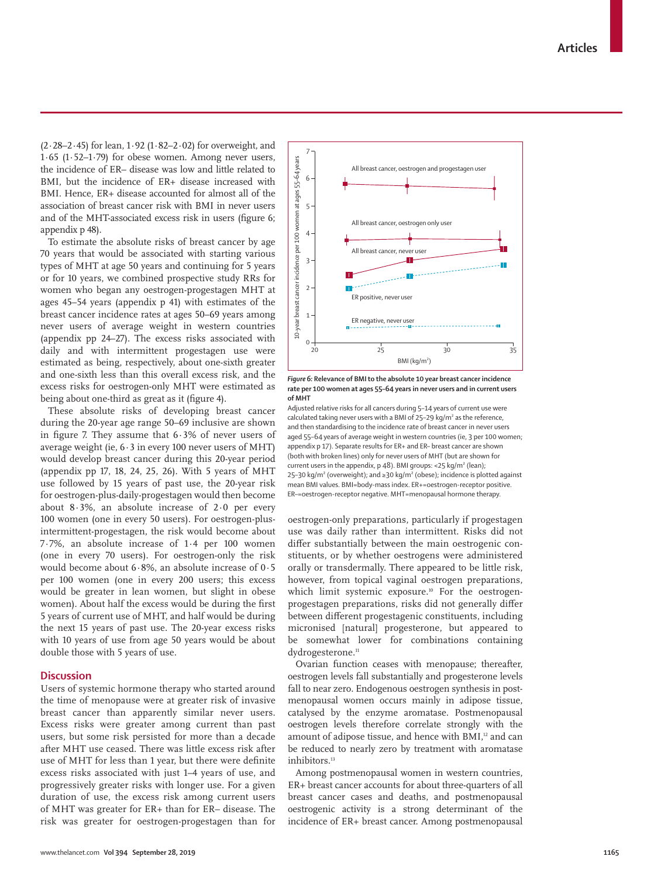www.thelancet.com**Vol 394 September 28, 2019 1165**

 $(2.28-2.45)$  for lean,  $1.92$   $(1.82-2.02)$  for overweight, and 1·65 (1·52–1·79) for obese women. Among never users, the incidence of ER– disease was low and little related to BMI, but the incidence of ER+ disease increased with BMI. Hence, ER+ disease accounted for almost all of the association of breast cancer risk with BMI in never users and of the MHT-associated excess risk in users (figure 6; appendix p 48).

To estimate the absolute risks of breast cancer by age 70 years that would be associated with starting various types of MHT at age 50 years and continuing for 5 years or for 10 years, we combined prospective study RRs for women who began any oestrogen-progestagen MHT at ages 45–54 years (appendix p 41) with estimates of the breast cancer incidence rates at ages 50–69 years among never users of average weight in western countries (appendix pp 24–27). The excess risks associated with daily and with intermittent progestagen use were estimated as being, respectively, about one-sixth greater and one-sixth less than this overall excess risk, and the excess risks for oestrogen-only MHT were estimated as being about one-third as great as it (figure 4).

These absolute risks of developing breast cancer during the 20-year age range 50–69 inclusive are shown in figure 7. They assume that  $6.3\%$  of never users of average weight (ie,  $6.3$  in every 100 never users of MHT) would develop breast cancer during this 20-year period (appendix pp 17, 18, 24, 25, 26). With 5 years of MHT use followed by 15 years of past use, the 20-year risk for oestrogen-plus-daily-progestagen would then become about  $8.3\%$ , an absolute increase of  $2.0$  per every 100 women (one in every 50 users). For oestrogen-plusintermittent-progestagen, the risk would become about 7·7%, an absolute increase of 1·4 per 100 women (one in every 70 users). For oestrogen-only the risk would become about 6·8%, an absolute increase of 0·5 per 100 women (one in every 200 users; this excess would be greater in lean women, but slight in obese women). About half the excess would be during the first 5 years of current use of MHT, and half would be during the next 15 years of past use. The 20-year excess risks with 10 years of use from age 50 years would be about double those with 5 years of use.

## **Discussion**

Users of systemic hormone therapy who started around the time of menopause were at greater risk of invasive breast cancer than apparently similar never users. Excess risks were greater among current than past users, but some risk persisted for more than a decade after MHT use ceased. There was little excess risk after use of MHT for less than 1 year, but there were definite excess risks associated with just 1–4 years of use, and progressively greater risks with longer use. For a given duration of use, the excess risk among current users of MHT was greater for ER+ than for ER– disease. The risk was greater for oestrogen-progestagen than for



7

*Figure 6:* **Relevance of BMI to the absolute 10 year breast cancer incidence rate per 100 women at ages 55–64 years in never users and in current users of MHT**

Adjusted relative risks for all cancers during 5–14 years of current use were calculated taking never users with a BMI of 25–29 kg/m² as the reference, and then standardising to the incidence rate of breast cancer in never users aged 55–64 years of average weight in western countries (ie, 3 per 100 women; appendix p 17). Separate results for ER+ and ER– breast cancer are shown (both with broken lines) only for never users of MHT (but are shown for current users in the appendix, p 48). BMI groups: <25 kg/m² (lean); 25–30 kg/m<sup>2</sup> (overweight); and ≥30 kg/m<sup>2</sup> (obese); incidence is plotted against mean BMI values. BMI=body-mass index. ER+=oestrogen-receptor positive. ER–=oestrogen-receptor negative. MHT=menopausal hormone therapy.

oestrogen-only preparations, particularly if progestagen use was daily rather than intermittent. Risks did not differ substantially between the main oestrogenic constituents, or by whether oestrogens were administered orally or transdermally. There appeared to be little risk, however, from topical vaginal oestrogen preparations, which limit systemic exposure.<sup>10</sup> For the oestrogenprogestagen preparations, risks did not generally differ between different progestagenic constituents, including micronised [natural] progesterone, but appeared to be somewhat lower for combinations containing dydrogesterone.<sup>11</sup>

Ovarian function ceases with menopause; thereafter, oestrogen levels fall substantially and progesterone levels fall to near zero. Endogenous oestrogen synthesis in postmenopausal women occurs mainly in adipose tissue, catalysed by the enzyme aromatase. Postmenopausal oestrogen levels therefore correlate strongly with the amount of adipose tissue, and hence with BMI,<sup>12</sup> and can be reduced to nearly zero by treatment with aromatase inhibitors.<sup>13</sup>

Among postmenopausal women in western countries, ER+ breast cancer accounts for about three-quarters of all breast cancer cases and deaths, and postmenopausal oestrogenic activity is a strong determinant of the incidence of ER+ breast cancer. Among postmenopausal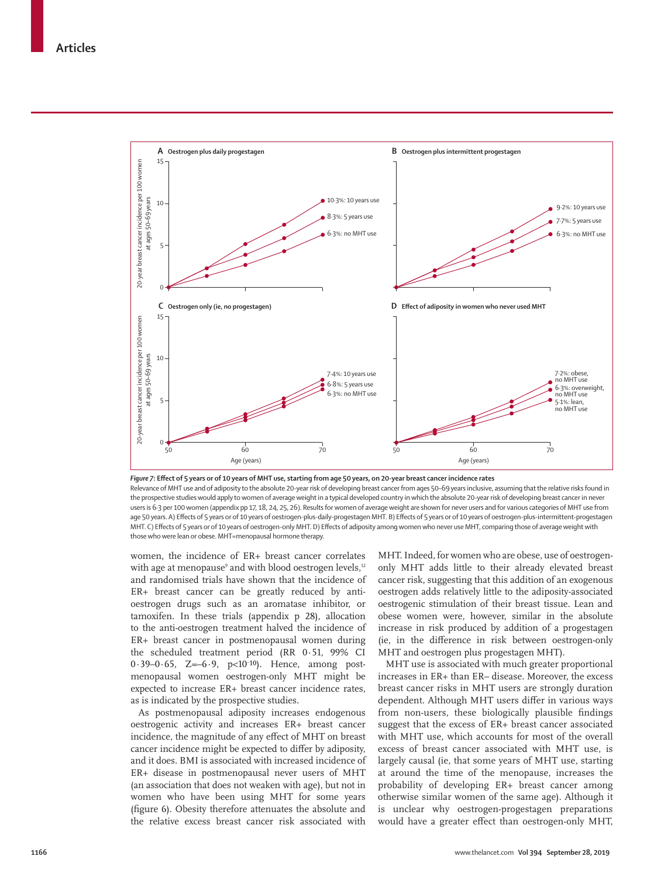

*Figure 7:* **Effect of 5 years or of 10 years of MHT use, starting from age 50 years, on 20-year breast cancer incidence rates** Relevance of MHT use and of adiposity to the absolute 20-year risk of developing breast cancer from ages 50–69 years inclusive, assuming that the relative risks found in the prospective studies would apply to women of average weight in a typical developed country in which the absolute 20-year risk of developing breast cancer in never users is 6·3 per 100 women (appendix pp 17, 18, 24, 25, 26). Results for women of average weight are shown for never users and for various categories of MHT use from age 50 years. A) Effects of 5 years or of 10 years of oestrogen-plus-daily-progestagen MHT. B) Effects of 5 years or of 10 years of oestrogen-plus-intermittent-progestagen MHT. C) Effects of 5 years or of 10 years of oestrogen-only MHT. D) Effects of adiposity among women who never use MHT, comparing those of average weight with those who were lean or obese. MHT=menopausal hormone therapy.

women, the incidence of ER+ breast cancer correlates with age at menopause° and with blood oestrogen levels,12 and randomised trials have shown that the incidence of ER+ breast cancer can be greatly reduced by antioestrogen drugs such as an aromatase inhibitor, or tamoxifen. In these trials (appendix p 28), allocation to the anti-oestrogen treatment halved the incidence of ER+ breast cancer in postmenopausal women during the scheduled treatment period (RR 0·51, 99% CI  $0.39 - 0.65$ ,  $Z = -6.9$ ,  $p < 10^{-10}$ ). Hence, among postmenopausal women oestrogen-only MHT might be expected to increase ER+ breast cancer incidence rates, as is indicated by the prospective studies.

As postmenopausal adiposity increases endogenous oestrogenic activity and increases ER+ breast cancer incidence, the magnitude of any effect of MHT on breast cancer incidence might be expected to differ by adiposity, and it does. BMI is associated with increased incidence of ER+ disease in postmenopausal never users of MHT (an association that does not weaken with age), but not in women who have been using MHT for some years (figure 6). Obesity therefore attenuates the absolute and the relative excess breast cancer risk associated with MHT. Indeed, for women who are obese, use of oestrogenonly MHT adds little to their already elevated breast cancer risk, suggesting that this addition of an exogenous oestrogen adds relatively little to the adiposity-associated oestrogenic stimulation of their breast tissue. Lean and obese women were, however, similar in the absolute increase in risk produced by addition of a progestagen (ie, in the difference in risk between oestrogen-only MHT and oestrogen plus progestagen MHT).

MHT use is associated with much greater proportional increases in ER+ than ER– disease. Moreover, the excess breast cancer risks in MHT users are strongly duration dependent. Although MHT users differ in various ways from non-users, these biologically plausible findings suggest that the excess of ER+ breast cancer associated with MHT use, which accounts for most of the overall excess of breast cancer associated with MHT use, is largely causal (ie, that some years of MHT use, starting at around the time of the menopause, increases the probability of developing ER+ breast cancer among otherwise similar women of the same age). Although it is unclear why oestrogen-progestagen preparations would have a greater effect than oestrogen-only MHT,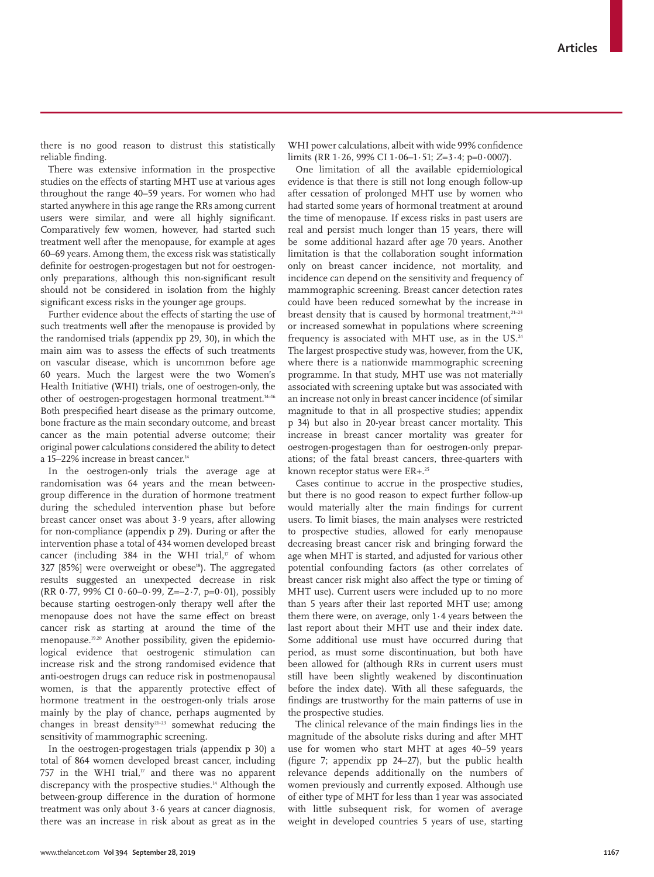there is no good reason to distrust this statistically reliable finding.

There was extensive information in the prospective studies on the effects of starting MHT use at various ages throughout the range 40–59 years. For women who had started anywhere in this age range the RRs among current users were similar, and were all highly significant. Comparatively few women, however, had started such treatment well after the menopause, for example at ages 60–69 years. Among them, the excess risk was statistically definite for oestrogen-progestagen but not for oestrogenonly preparations, although this non-significant result should not be considered in isolation from the highly significant excess risks in the younger age groups.

Further evidence about the effects of starting the use of such treatments well after the menopause is provided by the randomised trials (appendix pp 29, 30), in which the main aim was to assess the effects of such treatments on vascular disease, which is uncommon before age 60 years. Much the largest were the two Women's Health Initiative (WHI) trials, one of oestrogen-only, the other of oestrogen-progestagen hormonal treatment.14–16 Both prespecified heart disease as the primary outcome, bone fracture as the main secondary outcome, and breast cancer as the main potential adverse outcome; their original power calculations considered the ability to detect a 15–22% increase in breast cancer.<sup>14</sup>

In the oestrogen-only trials the average age at randomisation was 64 years and the mean betweengroup difference in the duration of hormone treatment during the scheduled intervention phase but before breast cancer onset was about 3·9 years, after allowing for non-compliance (appendix p 29). During or after the intervention phase a total of 434 women developed breast cancer (including  $384$  in the WHI trial,<sup>17</sup> of whom 327 [85%] were overweight or obese<sup>18</sup>). The aggregated results suggested an unexpected decrease in risk (RR 0.77, 99% CI 0.60–0.99, Z=–2.7, p=0.01), possibly because starting oestrogen-only therapy well after the menopause does not have the same effect on breast cancer risk as starting at around the time of the menopause.19,20 Another possibility, given the epidemiological evidence that oestrogenic stimulation can increase risk and the strong randomised evidence that anti-oestrogen drugs can reduce risk in postmenopausal women, is that the apparently protective effect of hormone treatment in the oestrogen-only trials arose mainly by the play of chance, perhaps augmented by changes in breast density $2^{1-23}$  somewhat reducing the sensitivity of mammographic screening.

In the oestrogen-progestagen trials (appendix p 30) a total of 864 women developed breast cancer, including 757 in the WHI trial, $v$  and there was no apparent discrepancy with the prospective studies.<sup>14</sup> Although the between-group difference in the duration of hormone treatment was only about 3·6 years at cancer diagnosis, there was an increase in risk about as great as in the WHI power calculations, albeit with wide 99% confidence limits (RR 1·26, 99% CI 1·06–1·51; *Z*=3·4; p=0·0007).

One limitation of all the available epidemiological evidence is that there is still not long enough follow-up after cessation of prolonged MHT use by women who had started some years of hormonal treatment at around the time of menopause. If excess risks in past users are real and persist much longer than 15 years, there will be some additional hazard after age 70 years. Another limitation is that the collaboration sought information only on breast cancer incidence, not mortality, and incidence can depend on the sensitivity and frequency of mammographic screening. Breast cancer detection rates could have been reduced somewhat by the increase in breast density that is caused by hormonal treatment,<sup>21-23</sup> or increased somewhat in populations where screening frequency is associated with MHT use, as in the  $US.^{24}$ The largest prospective study was, however, from the UK, where there is a nationwide mammographic screening programme. In that study, MHT use was not materially associated with screening uptake but was associated with an increase not only in breast cancer incidence (of similar magnitude to that in all prospective studies; appendix p 34) but also in 20-year breast cancer mortality. This increase in breast cancer mortality was greater for oestrogen-progestagen than for oestrogen-only preparations; of the fatal breast cancers, three-quarters with known receptor status were ER+.25

Cases continue to accrue in the prospective studies, but there is no good reason to expect further follow-up would materially alter the main findings for current users. To limit biases, the main analyses were restricted to prospective studies, allowed for early menopause decreasing breast cancer risk and bringing forward the age when MHT is started, and adjusted for various other potential confounding factors (as other correlates of breast cancer risk might also affect the type or timing of MHT use). Current users were included up to no more than 5 years after their last reported MHT use; among them there were, on average, only 1·4 years between the last report about their MHT use and their index date. Some additional use must have occurred during that period, as must some discontinuation, but both have been allowed for (although RRs in current users must still have been slightly weakened by discontinuation before the index date). With all these safeguards, the findings are trustworthy for the main patterns of use in the prospective studies.

The clinical relevance of the main findings lies in the magnitude of the absolute risks during and after MHT use for women who start MHT at ages 40–59 years (figure 7; appendix pp 24–27), but the public health relevance depends additionally on the numbers of women previously and currently exposed. Although use of either type of MHT for less than 1 year was associated with little subsequent risk, for women of average weight in developed countries 5 years of use, starting